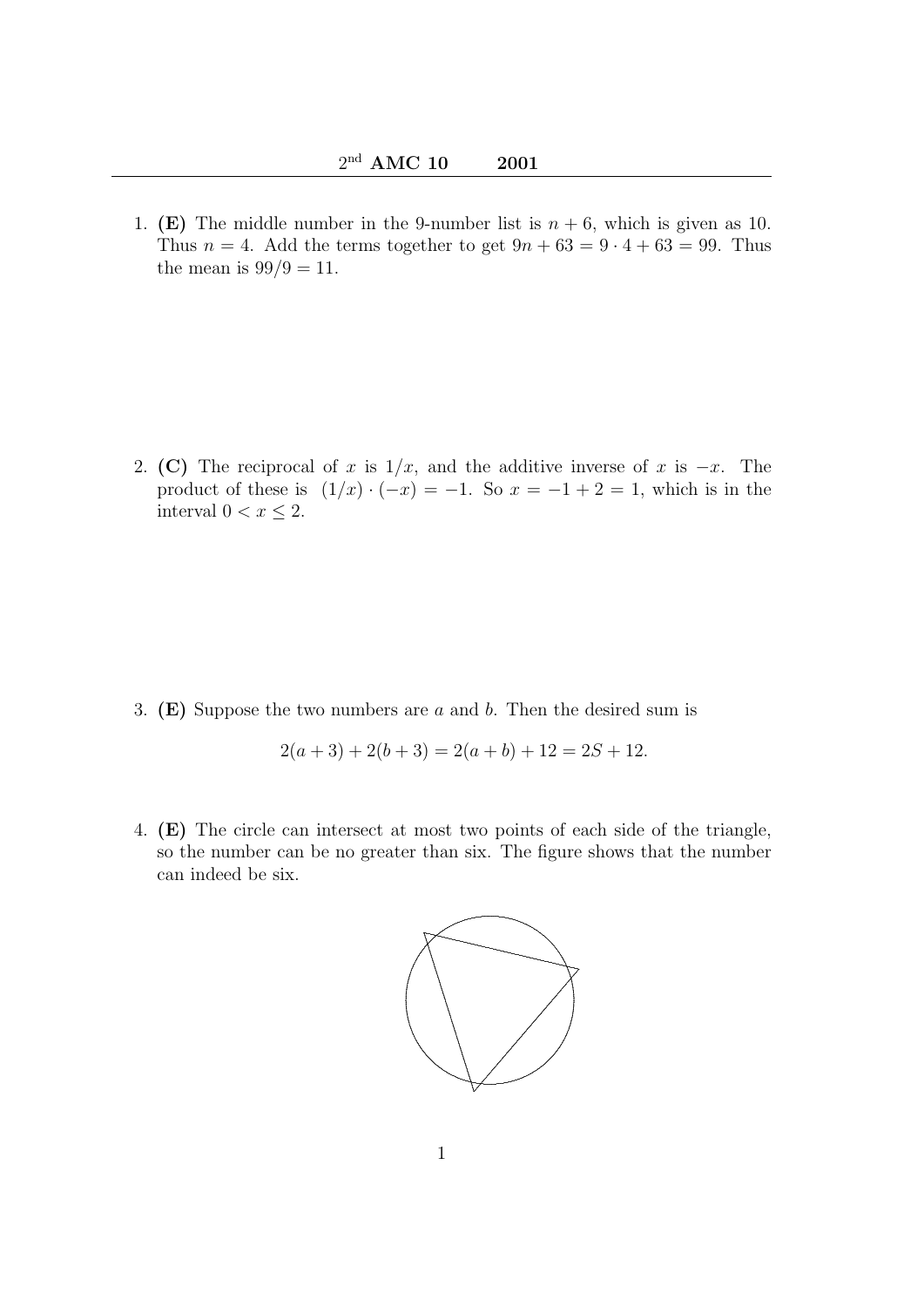1. (E) The middle number in the 9-number list is  $n + 6$ , which is given as 10. Thus  $n = 4$ . Add the terms together to get  $9n + 63 = 9 \cdot 4 + 63 = 99$ . Thus the mean is  $99/9 = 11$ .

2. (C) The reciprocal of x is  $1/x$ , and the additive inverse of x is  $-x$ . The product of these is  $(1/x) \cdot (-x) = -1$ . So  $x = -1 + 2 = 1$ , which is in the interval  $0 < x \leq 2$ .

3. (E) Suppose the two numbers are  $a$  and  $b$ . Then the desired sum is

$$
2(a+3) + 2(b+3) = 2(a+b) + 12 = 2S + 12.
$$

4. (E) The circle can intersect at most two points of each side of the triangle, so the number can be no greater than six. The figure shows that the number can indeed be six.

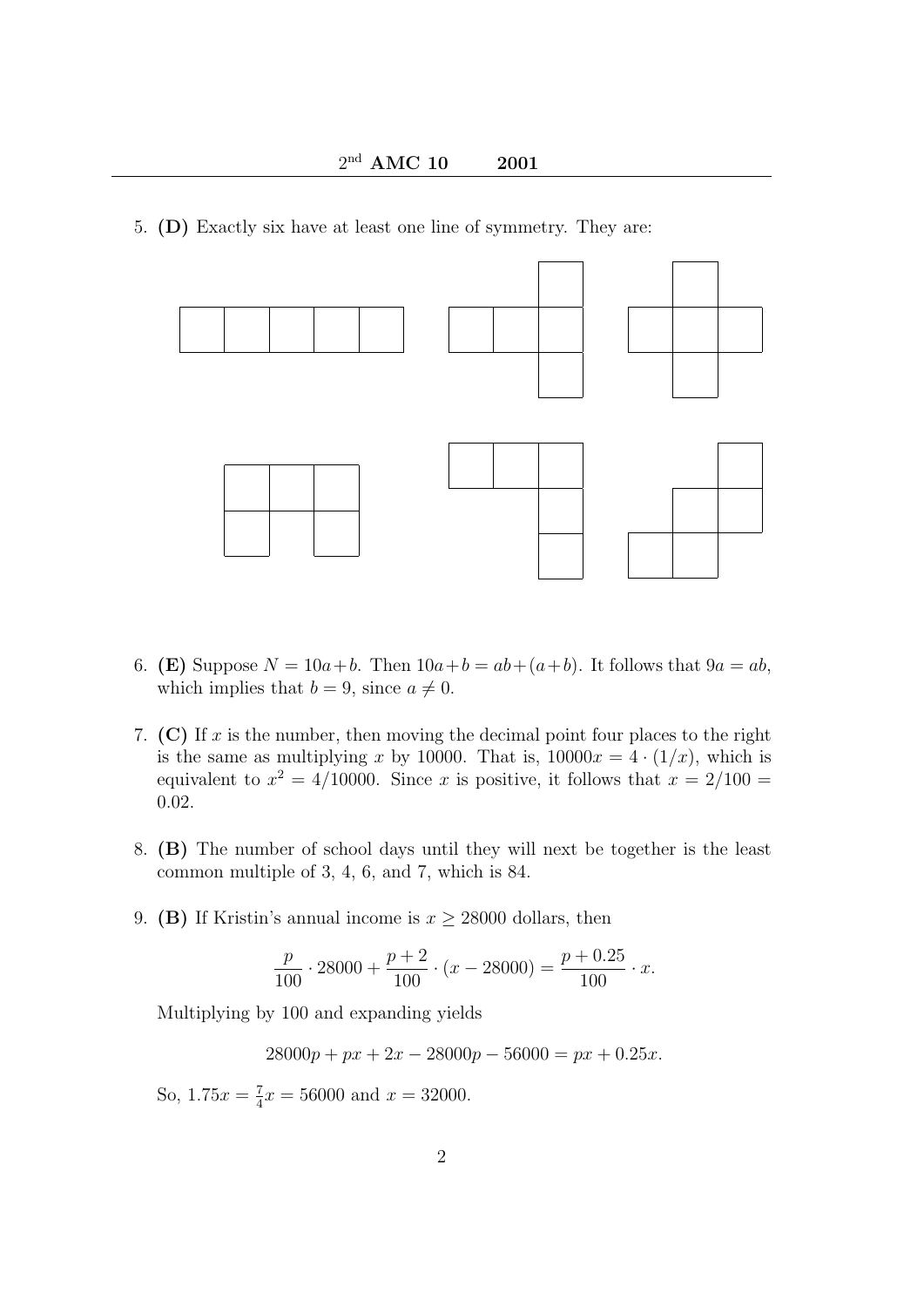5. (D) Exactly six have at least one line of symmetry. They are:



- 6. (E) Suppose  $N = 10a+b$ . Then  $10a+b = ab+(a+b)$ . It follows that  $9a = ab$ , which implies that  $b = 9$ , since  $a \neq 0$ .
- 7. (C) If x is the number, then moving the decimal point four places to the right is the same as multiplying x by 10000. That is,  $10000x = 4 \cdot (1/x)$ , which is equivalent to  $x^2 = 4/10000$ . Since x is positive, it follows that  $x = 2/100 =$ 0.02.
- 8. (B) The number of school days until they will next be together is the least common multiple of 3, 4, 6, and 7, which is 84.
- 9. (B) If Kristin's annual income is  $x \ge 28000$  dollars, then

$$
\frac{p}{100} \cdot 28000 + \frac{p+2}{100} \cdot (x - 28000) = \frac{p+0.25}{100} \cdot x.
$$

Multiplying by 100 and expanding yields

 $28000p + px + 2x - 28000p - 56000 = px + 0.25x.$ 

So,  $1.75x = \frac{7}{4}$  $\frac{7}{4}x = 56000$  and  $x = 32000$ .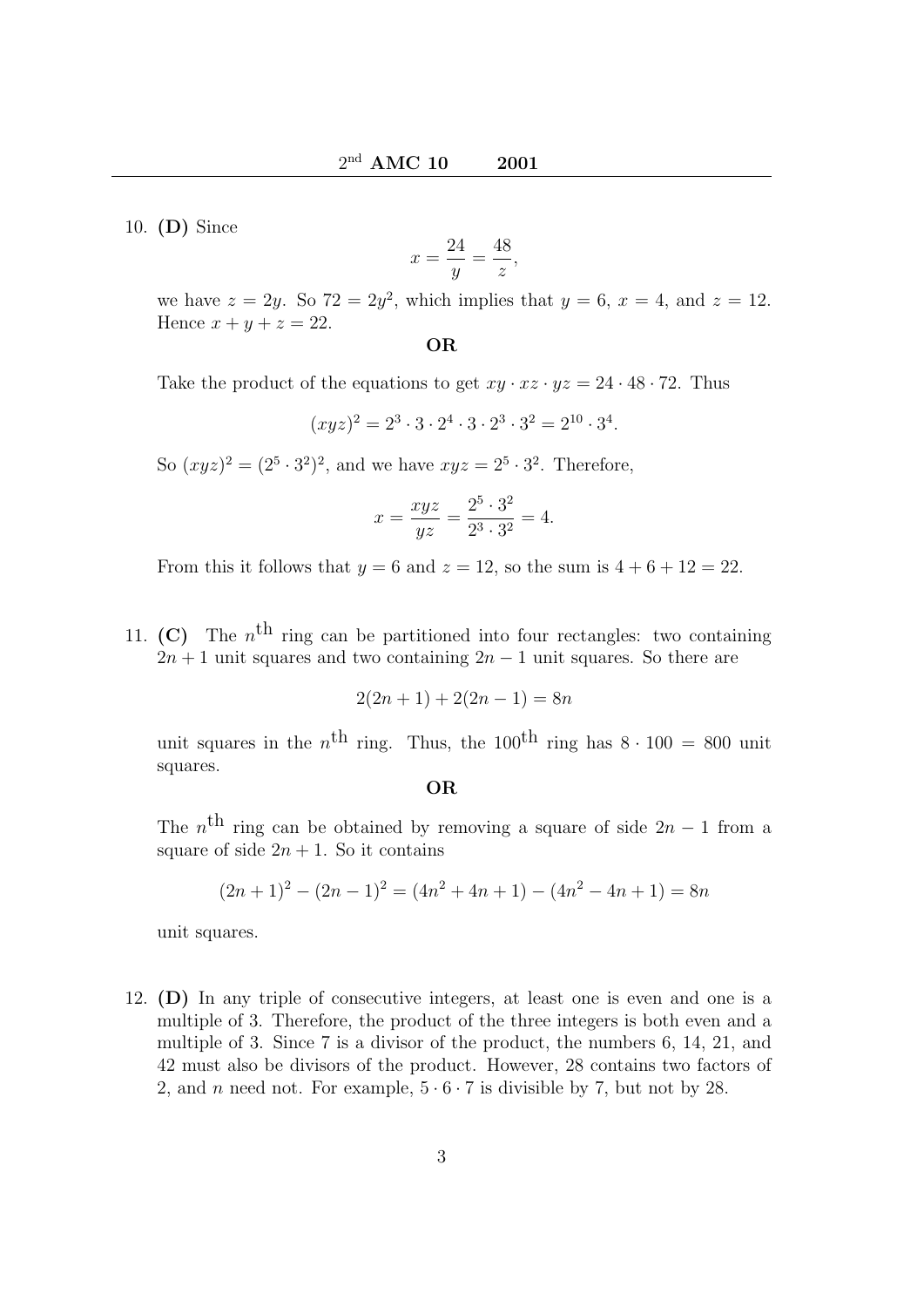10. (D) Since

$$
x = \frac{24}{y} = \frac{48}{z},
$$

we have  $z = 2y$ . So  $72 = 2y^2$ , which implies that  $y = 6$ ,  $x = 4$ , and  $z = 12$ . Hence  $x + y + z = 22$ .

OR

Take the product of the equations to get  $xy \cdot xz \cdot yz = 24 \cdot 48 \cdot 72$ . Thus

$$
(xyz)^2 = 2^3 \cdot 3 \cdot 2^4 \cdot 3 \cdot 2^3 \cdot 3^2 = 2^{10} \cdot 3^4.
$$

So  $(xyz)^2 = (2^5 \cdot 3^2)^2$ , and we have  $xyz = 2^5 \cdot 3^2$ . Therefore,

$$
x = \frac{xyz}{yz} = \frac{2^5 \cdot 3^2}{2^3 \cdot 3^2} = 4.
$$

From this it follows that  $y = 6$  and  $z = 12$ , so the sum is  $4 + 6 + 12 = 22$ .

11. (C) The  $n<sup>th</sup>$  ring can be partitioned into four rectangles: two containing  $2n + 1$  unit squares and two containing  $2n - 1$  unit squares. So there are

$$
2(2n+1) + 2(2n - 1) = 8n
$$

unit squares in the  $n<sup>th</sup>$  ring. Thus, the 100<sup>th</sup> ring has  $8 \cdot 100 = 800$  unit squares.

OR

The  $n<sup>th</sup>$  ring can be obtained by removing a square of side  $2n-1$  from a square of side  $2n + 1$ . So it contains

$$
(2n+1)2 - (2n-1)2 = (4n2 + 4n + 1) - (4n2 - 4n + 1) = 8n
$$

unit squares.

12. (D) In any triple of consecutive integers, at least one is even and one is a multiple of 3. Therefore, the product of the three integers is both even and a multiple of 3. Since 7 is a divisor of the product, the numbers 6, 14, 21, and 42 must also be divisors of the product. However, 28 contains two factors of 2, and *n* need not. For example,  $5 \cdot 6 \cdot 7$  is divisible by 7, but not by 28.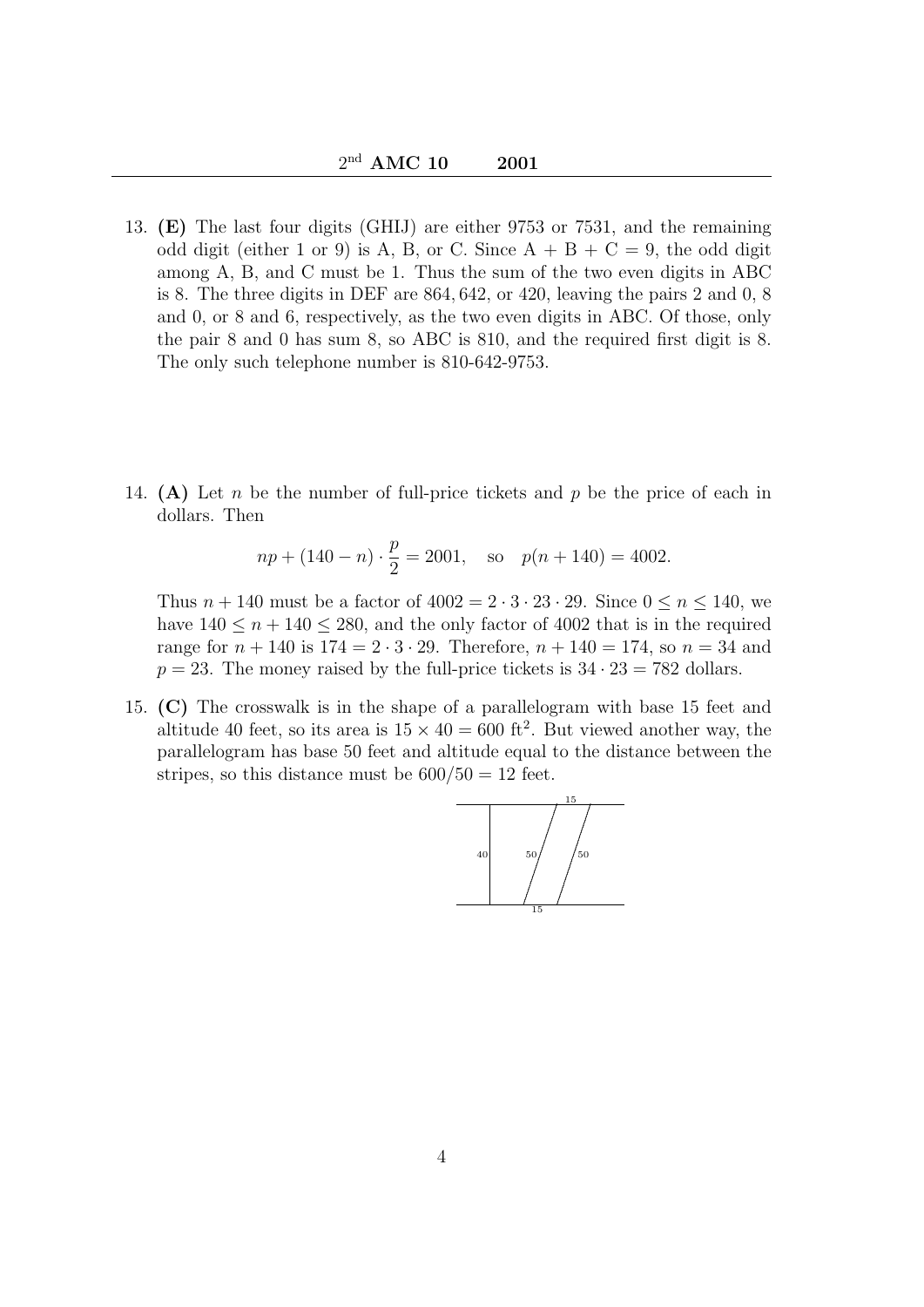- 13. (E) The last four digits (GHIJ) are either 9753 or 7531, and the remaining odd digit (either 1 or 9) is A, B, or C. Since  $A + B + C = 9$ , the odd digit among A, B, and C must be 1. Thus the sum of the two even digits in ABC is 8. The three digits in DEF are 864, 642, or 420, leaving the pairs 2 and 0, 8 and 0, or 8 and 6, respectively, as the two even digits in ABC. Of those, only the pair 8 and 0 has sum 8, so ABC is 810, and the required first digit is 8. The only such telephone number is 810-642-9753.
- 14. (A) Let n be the number of full-price tickets and p be the price of each in dollars. Then

$$
np + (140 - n) \cdot \frac{p}{2} = 2001
$$
, so  $p(n + 140) = 4002$ .

Thus  $n + 140$  must be a factor of  $4002 = 2 \cdot 3 \cdot 23 \cdot 29$ . Since  $0 \le n \le 140$ , we have  $140 \le n + 140 \le 280$ , and the only factor of 4002 that is in the required range for  $n + 140$  is  $174 = 2 \cdot 3 \cdot 29$ . Therefore,  $n + 140 = 174$ , so  $n = 34$  and  $p = 23$ . The money raised by the full-price tickets is  $34 \cdot 23 = 782$  dollars.

15. (C) The crosswalk is in the shape of a parallelogram with base 15 feet and altitude 40 feet, so its area is  $15 \times 40 = 600$  ft<sup>2</sup>. But viewed another way, the parallelogram has base 50 feet and altitude equal to the distance between the stripes, so this distance must be  $600/50 = 12$  feet.

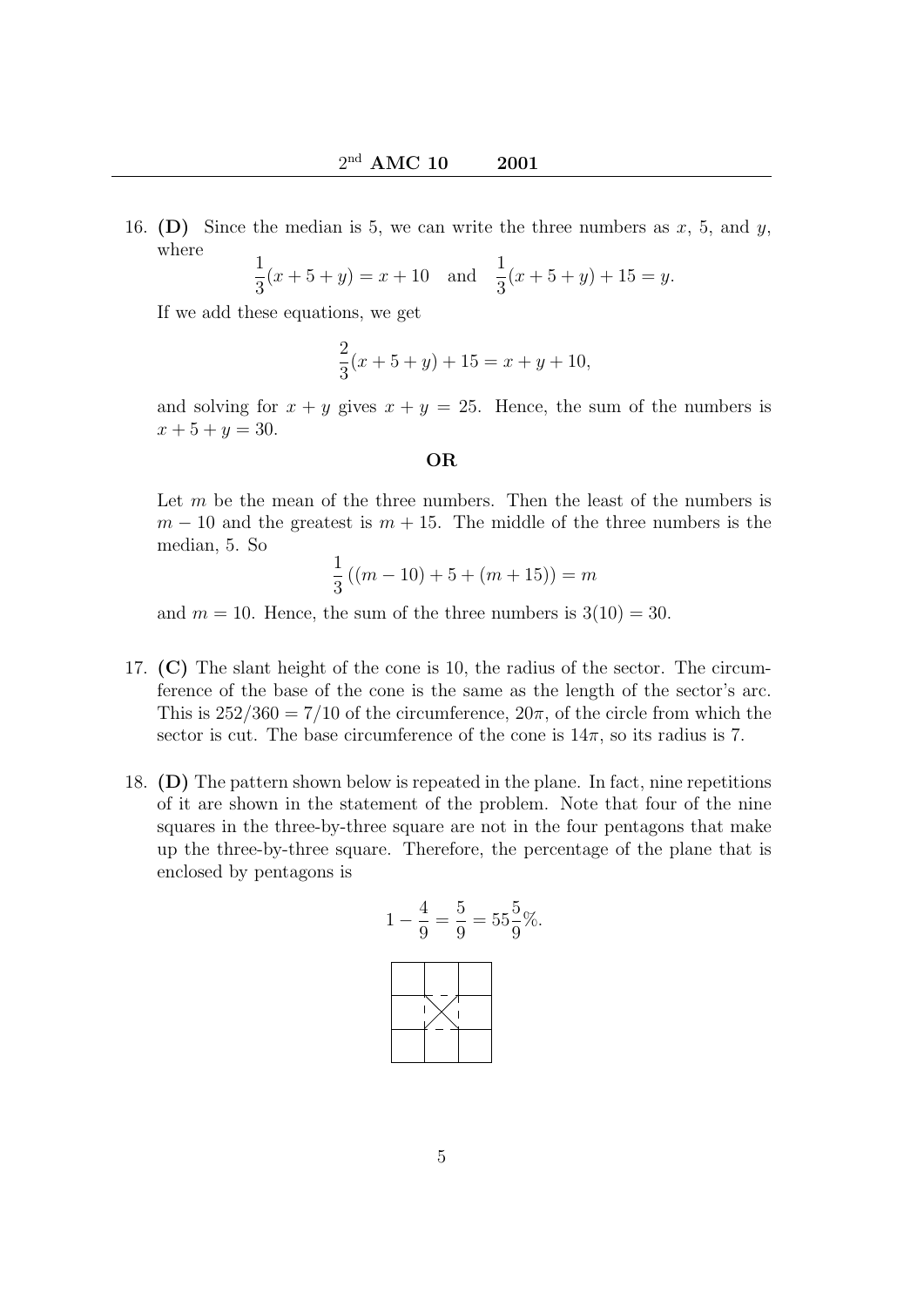16. (D) Since the median is 5, we can write the three numbers as  $x$ , 5, and  $y$ , where

$$
\frac{1}{3}(x+5+y) = x+10 \text{ and } \frac{1}{3}(x+5+y) + 15 = y.
$$

If we add these equations, we get

$$
\frac{2}{3}(x+5+y) + 15 = x+y+10,
$$

and solving for  $x + y$  gives  $x + y = 25$ . Hence, the sum of the numbers is  $x + 5 + y = 30.$ 

OR

Let  $m$  be the mean of the three numbers. Then the least of the numbers is  $m-10$  and the greatest is  $m+15$ . The middle of the three numbers is the median, 5. So

$$
\frac{1}{3}((m-10)+5+(m+15)) = m
$$

and  $m = 10$ . Hence, the sum of the three numbers is  $3(10) = 30$ .

- 17. (C) The slant height of the cone is 10, the radius of the sector. The circumference of the base of the cone is the same as the length of the sector's arc. This is  $252/360 = 7/10$  of the circumference,  $20\pi$ , of the circle from which the sector is cut. The base circumference of the cone is  $14\pi$ , so its radius is 7.
- 18. (D) The pattern shown below is repeated in the plane. In fact, nine repetitions of it are shown in the statement of the problem. Note that four of the nine squares in the three-by-three square are not in the four pentagons that make up the three-by-three square. Therefore, the percentage of the plane that is enclosed by pentagons is

$$
1 - \frac{4}{9} = \frac{5}{9} = 55\frac{5}{9}\%.
$$

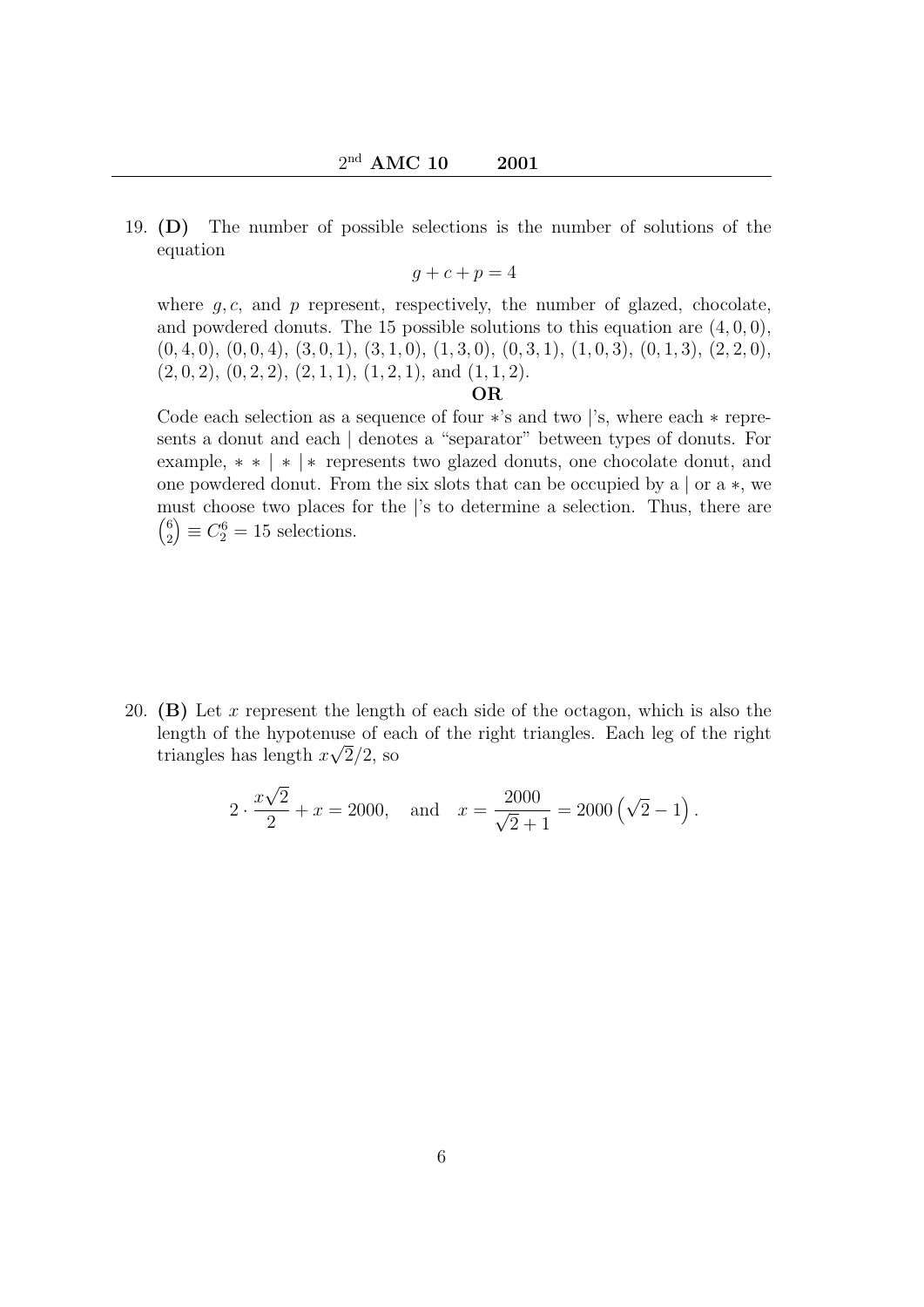19. (D) The number of possible selections is the number of solutions of the equation

 $q + c + p = 4$ 

where  $g, c$ , and  $p$  represent, respectively, the number of glazed, chocolate, and powdered donuts. The 15 possible solutions to this equation are  $(4, 0, 0)$ ,  $(0, 4, 0), (0, 0, 4), (3, 0, 1), (3, 1, 0), (1, 3, 0), (0, 3, 1), (1, 0, 3), (0, 1, 3), (2, 2, 0),$  $(2, 0, 2), (0, 2, 2), (2, 1, 1), (1, 2, 1), \text{ and } (1, 1, 2).$ 

## OR

Code each selection as a sequence of four ∗'s and two |'s, where each ∗ represents a donut and each | denotes a "separator" between types of donuts. For example, ∗ ∗ | ∗ | ∗ represents two glazed donuts, one chocolate donut, and one powdered donut. From the six slots that can be occupied by a | or a ∗, we must choose two places for the |'s to determine a selection. Thus, there are  $(6)$ 2  $\Big) \equiv C_2^6 = 15$  selections.

20. (B) Let x represent the length of each side of the octagon, which is also the length of the hypotenuse of each of the right triangles. Each leg of the right triangles has length  $x\sqrt{2}/2$ , so

$$
2 \cdot \frac{x\sqrt{2}}{2} + x = 2000
$$
, and  $x = \frac{2000}{\sqrt{2} + 1} = 2000 (\sqrt{2} - 1)$ .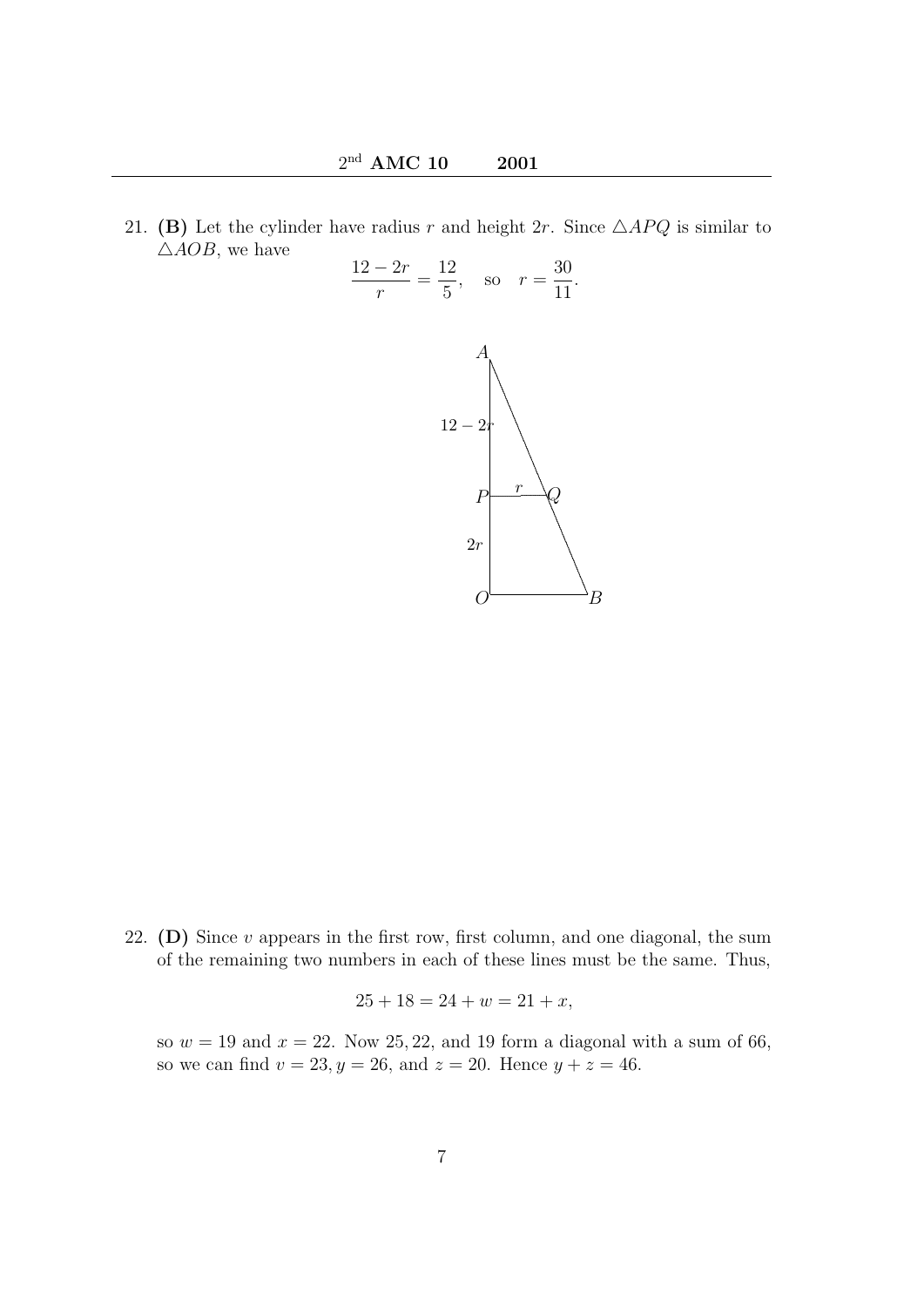21. (B) Let the cylinder have radius r and height 2r. Since  $\triangle APQ$  is similar to  $\triangle AOB$ , we have



22. (D) Since  $v$  appears in the first row, first column, and one diagonal, the sum of the remaining two numbers in each of these lines must be the same. Thus,

$$
25 + 18 = 24 + w = 21 + x,
$$

so  $w = 19$  and  $x = 22$ . Now 25, 22, and 19 form a diagonal with a sum of 66, so we can find  $v = 23, y = 26$ , and  $z = 20$ . Hence  $y + z = 46$ .